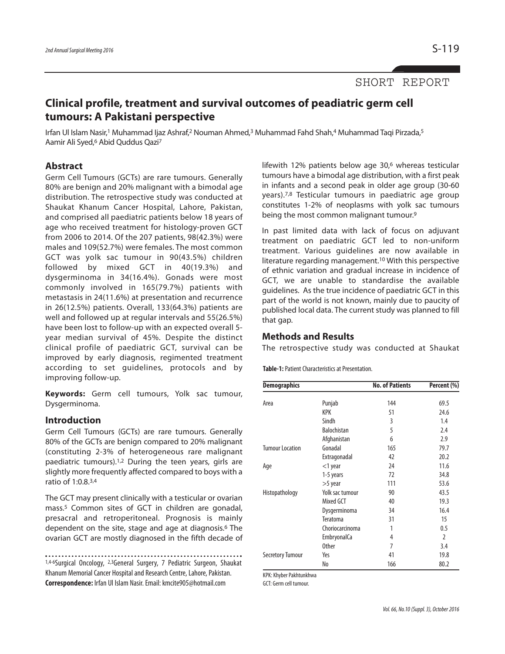## SHORT REPORT

# **Clinical profile, treatment and survival outcomes of peadiatric germ cell tumours: A Pakistani perspective**

Irfan Ul Islam Nasir,<sup>1</sup> Muhammad Ijaz Ashraf,<sup>2</sup> Nouman Ahmed,<sup>3</sup> Muhammad Fahd Shah,4 Muhammad Taqi Pirzada,<sup>5</sup> Aamir Ali Syed, <sup>6</sup> Abid Quddus Qazi 7

#### **Abstract**

Germ Cell Tumours (GCTs) are rare tumours. Generally 80% are benign and 20% malignant with a bimodal age distribution. The retrospective study was conducted at Shaukat Khanum Cancer Hospital, Lahore, Pakistan, and comprised all paediatric patients below 18 years of age who received treatment for histology-proven GCT from 2006 to 2014. Of the 207 patients, 98(42.3%) were males and 109(52.7%) were females. The most common GCT was yolk sac tumour in 90(43.5%) children followed by mixed GCT in 40(19.3%) and dysgerminoma in 34(16.4%). Gonads were most commonly involved in 165(79.7%) patients with metastasis in 24(11.6%) at presentation and recurrence in 26(12.5%) patients. Overall, 133(64.3%) patients are well and followed up at regular intervals and 55(26.5%) have been lost to follow-up with an expected overall 5 year median survival of 45%. Despite the distinct clinical profile of paediatric GCT, survival can be improved by early diagnosis, regimented treatment according to set guidelines, protocols and by improving follow-up.

**Keywords:** Germ cell tumours, Yolk sac tumour, Dysgerminoma.

#### **Introduction**

Germ Cell Tumours (GCTs) are rare tumours. Generally 80% of the GCTs are benign compared to 20% malignant (constituting 2-3% of heterogeneous rare malignant paediatric tumours).<sup>1,2</sup> During the teen years, girls are slightly more frequently affected compared to boys with a ratio of 1:0.8. 3,4

The GCT may present clinically with a testicular or ovarian mass. <sup>5</sup> Common sites of GCT in children are gonadal, presacral and retroperitoneal. Prognosis is mainly dependent on the site, stage and age at diagnosis. <sup>6</sup> The ovarian GCT are mostly diagnosed in the fifth decade of

1,4-6Surgical Oncology, 2,3General Surgery, 7 Pediatric Surgeon, Shaukat Khanum Memorial Cancer Hospital and Research Centre, Lahore, Pakistan. **Correspondence:** Irfan Ul Islam Nasir.Email:kmcite905@hotmail.com

lifewith 12% patients below age 30, <sup>6</sup> whereas testicular tumours have a bimodal age distribution, with a first peak in infants and a second peak in older age group (30-60 years). 7,8 Testicular tumours in paediatric age group constitutes 1-2% of neoplasms with yolk sac tumours being the most common malignant tumour. 9

In past limited data with lack of focus on adjuvant treatment on paediatric GCT led to non-uniform treatment. Various guidelines are now available in literature regarding management. 10 With this perspective of ethnic variation and gradual increase in incidence of GCT, we are unable to standardise the available guidelines. As the true incidence of paediatric GCT in this part of the world is not known, mainly due to paucity of published local data. The current study was planned to fill that gap.

#### **Methods and Results**

The retrospective study was conducted at Shaukat

**Table-1:** Patient Characteristics at Presentation.

| <b>Demographics</b>     |                    | <b>No. of Patients</b> | Percent (%)    |
|-------------------------|--------------------|------------------------|----------------|
| Area                    | Punjab             | 144                    | 69.5           |
|                         | <b>KPK</b>         | 51                     | 24.6           |
|                         | Sindh              | 3                      | 1.4            |
|                         | <b>Balochistan</b> | 5                      | 2.4            |
|                         | Afghanistan        | 6                      | 2.9            |
| <b>Tumour Location</b>  | Gonadal            | 165                    | 79.7           |
|                         | Extragonadal       | 42                     | 20.2           |
| Age                     | $<$ 1 year         | 24                     | 11.6           |
|                         | 1-5 years          | 72                     | 34.8           |
|                         | $>5$ year          | 111                    | 53.6           |
| Histopathology          | Yolk sac tumour    | 90                     | 43.5           |
|                         | Mixed GCT          | 40                     | 19.3           |
|                         | Dysgerminoma       | 34                     | 16.4           |
|                         | <b>Teratoma</b>    | 31                     | 15             |
|                         | Choriocarcinoma    | 1                      | 0.5            |
|                         | <b>EmbryonalCa</b> | 4                      | $\overline{2}$ |
|                         | <b>Other</b>       | 7                      | 3.4            |
| <b>Secretory Tumour</b> | Yes                | 41                     | 19.8           |
|                         | No                 | 166                    | 80.2           |

KPK: Khyber Pakhtunkhwa

GCT: Germ cell tumour.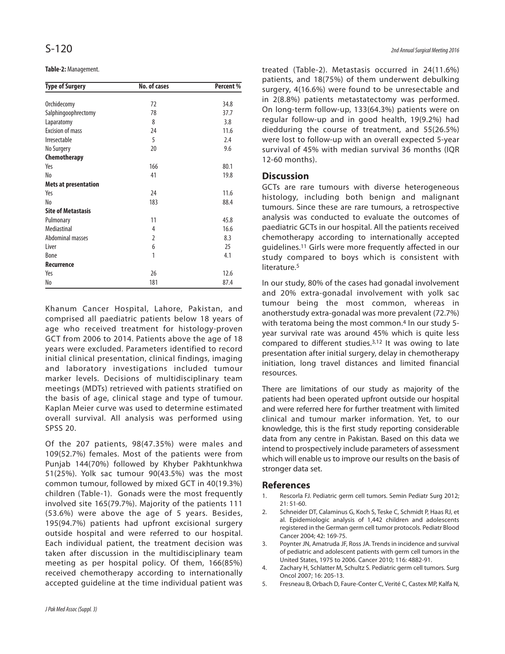#### **Table-2:** Management.

| <b>Type of Surgery</b>      | No. of cases   | Percent % |
|-----------------------------|----------------|-----------|
|                             |                |           |
| Orchidecomy                 | 72             | 34.8      |
| Salphingoophrectomy         | 78             | 37.7      |
| Laparatomy                  | 8              | 3.8       |
| <b>Excision of mass</b>     | 24             | 11.6      |
| Irresectable                | 5              | 2.4       |
| No Surgery                  | 20             | 9.6       |
| Chemotherapy                |                |           |
| Yes                         | 166            | 80.1      |
| No                          | 41             | 19.8      |
| <b>Mets at presentation</b> |                |           |
| Yes                         | 24             | 11.6      |
| No                          | 183            | 88.4      |
| <b>Site of Metastasis</b>   |                |           |
| Pulmonary                   | 11             | 45.8      |
| Mediastinal                 | 4              | 16.6      |
| Abdominal masses            | $\overline{2}$ | 8.3       |
| Liver                       | 6              | 25        |
| Bone                        | 1              | 4.1       |
| <b>Recurrence</b>           |                |           |
| Yes                         | 26             | 12.6      |
| No                          | 181            | 87.4      |

Khanum Cancer Hospital, Lahore, Pakistan, and comprised all paediatric patients below 18 years of age who received treatment for histology-proven GCT from 2006 to 2014. Patients above the age of 18 years were excluded. Parameters identified to record initial clinical presentation, clinical findings, imaging and laboratory investigations included tumour marker levels. Decisions of multidisciplinary team meetings (MDTs) retrieved with patients stratified on the basis of age, clinical stage and type of tumour. Kaplan Meier curve was used to determine estimated overall survival. All analysis was performed using SPSS 20.

Of the 207 patients, 98(47.35%) were males and 109(52.7%) females. Most of the patients were from Punjab 144(70%) followed by Khyber Pakhtunkhwa 51(25%). Yolk sac tumour 90(43.5%) was the most common tumour, followed by mixed GCT in 40(19.3%) children (Table-1). Gonads were the most frequently involved site 165(79.7%). Majority of the patients 111 (53.6%) were above the age of 5 years. Besides, 195(94.7%) patients had upfront excisional surgery outside hospital and were referred to our hospital. Each individual patient, the treatment decision was taken after discussion in the multidisciplinary team meeting as per hospital policy. Of them, 166(85%) received chemotherapy according to internationally accepted guideline at the time individual patient was treated (Table-2). Metastasis occurred in 24(11.6%) patients, and 18(75%) of them underwent debulking surgery, 4(16.6%) were found to be unresectable and in 2(8.8%) patients metastatectomy was performed. On long-term follow-up, 133(64.3%) patients were on regular follow-up and in good health, 19(9.2%) had diedduring the course of treatment, and 55(26.5%) were lost to follow-up with an overall expected 5-year survival of 45% with median survival 36 months (IQR 12-60 months).

### **Discussion**

GCTs are rare tumours with diverse heterogeneous histology, including both benign and malignant tumours. Since these are rare tumours, a retrospective analysis was conducted to evaluate the outcomes of paediatric GCTs in our hospital. All the patients received chemotherapy according to internationally accepted guidelines. <sup>11</sup> Girls were more frequently affected in our study compared to boys which is consistent with literature. 5

In our study, 80% of the cases had gonadal involvement and 20% extra-gonadal involvement with yolk sac tumour being the most common, whereas in anotherstudy extra-gonadal was more prevalent (72.7%) with teratoma being the most common. <sup>4</sup> In our study 5 year survival rate was around 45% which is quite less compared to different studies. 3,12 It was owing to late presentation after initial surgery, delay in chemotherapy initiation, long travel distances and limited financial resources.

There are limitations of our study as majority of the patients had been operated upfront outside our hospital and were referred here for further treatment with limited clinical and tumour marker information. Yet, to our knowledge, this is the first study reporting considerable data from any centre in Pakistan. Based on this data we intend to prospectively include parameters of assessment which will enable us to improve our results on the basis of stronger data set.

#### **References**

- 1. Rescorla FJ. Pediatric germ cell tumors. Semin Pediatr Surg 2012;  $21.51 - 60$
- 2. Schneider DT, Calaminus G, Koch S, Teske C, Schmidt P, Haas RJ, et al. Epidemiologic analysis of 1,442 children and adolescents registered in the German germ cell tumor protocols. Pediatr Blood Cancer 2004; 42: 169-75.
- 3. Poynter JN, Amatruda JF, Ross JA. Trends in incidence and survival of pediatric and adolescent patients with germ cell tumors in the United States, 1975 to 2006. Cancer 2010; 116: 4882-91.
- 4. Zachary H, Schlatter M, Schultz S. Pediatric germ cell tumors. Surg Oncol 2007; 16: 205-13.
- 5. Fresneau B, Orbach D, Faure-Conter C, Verité C, Castex MP, Kalfa N,